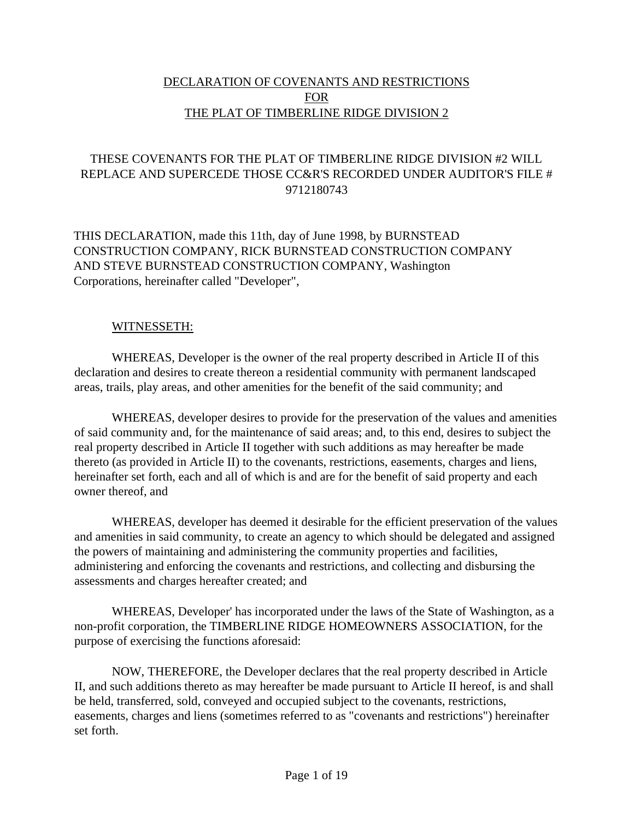# DECLARATION OF COVENANTS AND RESTRICTIONS FOR THE PLAT OF TIMBERLINE RIDGE DIVISION 2

# THESE COVENANTS FOR THE PLAT OF TIMBERLINE RIDGE DIVISION #2 WILL REPLACE AND SUPERCEDE THOSE CC&R'S RECORDED UNDER AUDITOR'S FILE # 9712180743

THIS DECLARATION, made this 11th, day of June 1998, by BURNSTEAD CONSTRUCTION COMPANY, RICK BURNSTEAD CONSTRUCTION COMPANY AND STEVE BURNSTEAD CONSTRUCTION COMPANY, Washington Corporations, hereinafter called "Developer",

### WITNESSETH:

WHEREAS, Developer is the owner of the real property described in Article II of this declaration and desires to create thereon a residential community with permanent landscaped areas, trails, play areas, and other amenities for the benefit of the said community; and

WHEREAS, developer desires to provide for the preservation of the values and amenities of said community and, for the maintenance of said areas; and, to this end, desires to subject the real property described in Article II together with such additions as may hereafter be made thereto (as provided in Article II) to the covenants, restrictions, easements, charges and liens, hereinafter set forth, each and all of which is and are for the benefit of said property and each owner thereof, and

WHEREAS, developer has deemed it desirable for the efficient preservation of the values and amenities in said community, to create an agency to which should be delegated and assigned the powers of maintaining and administering the community properties and facilities, administering and enforcing the covenants and restrictions, and collecting and disbursing the assessments and charges hereafter created; and

WHEREAS, Developer' has incorporated under the laws of the State of Washington, as a non-profit corporation, the TIMBERLINE RIDGE HOMEOWNERS ASSOCIATION, for the purpose of exercising the functions aforesaid:

NOW, THEREFORE, the Developer declares that the real property described in Article II, and such additions thereto as may hereafter be made pursuant to Article II hereof, is and shall be held, transferred, sold, conveyed and occupied subject to the covenants, restrictions, easements, charges and liens (sometimes referred to as "covenants and restrictions") hereinafter set forth.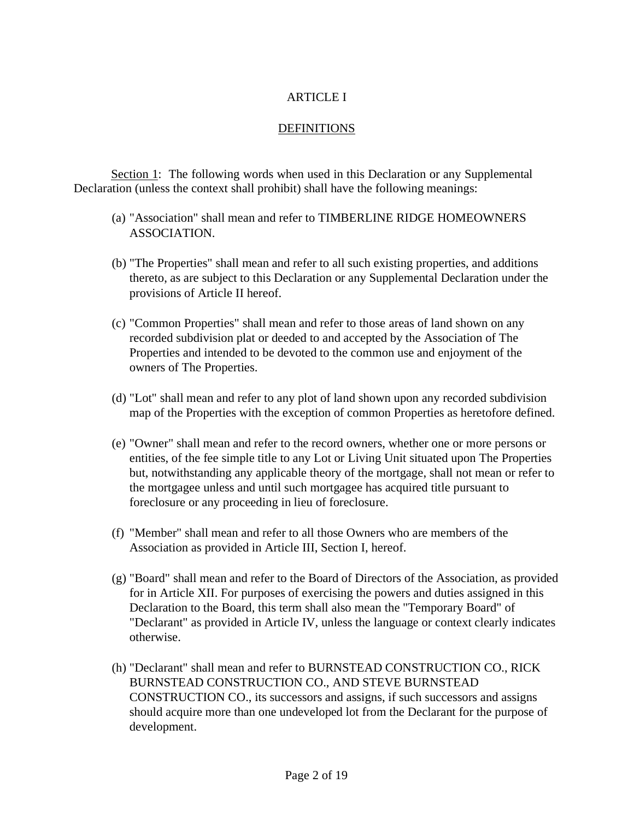# ARTICLE I

# DEFINITIONS

Section 1: The following words when used in this Declaration or any Supplemental Declaration (unless the context shall prohibit) shall have the following meanings:

- (a) "Association" shall mean and refer to TIMBERLINE RIDGE HOMEOWNERS ASSOCIATION.
- (b) "The Properties" shall mean and refer to all such existing properties, and additions thereto, as are subject to this Declaration or any Supplemental Declaration under the provisions of Article II hereof.
- (c) "Common Properties" shall mean and refer to those areas of land shown on any recorded subdivision plat or deeded to and accepted by the Association of The Properties and intended to be devoted to the common use and enjoyment of the owners of The Properties.
- (d) "Lot" shall mean and refer to any plot of land shown upon any recorded subdivision map of the Properties with the exception of common Properties as heretofore defined.
- (e) "Owner" shall mean and refer to the record owners, whether one or more persons or entities, of the fee simple title to any Lot or Living Unit situated upon The Properties but, notwithstanding any applicable theory of the mortgage, shall not mean or refer to the mortgagee unless and until such mortgagee has acquired title pursuant to foreclosure or any proceeding in lieu of foreclosure.
- (f) "Member" shall mean and refer to all those Owners who are members of the Association as provided in Article III, Section I, hereof.
- (g) "Board" shall mean and refer to the Board of Directors of the Association, as provided for in Article XII. For purposes of exercising the powers and duties assigned in this Declaration to the Board, this term shall also mean the "Temporary Board" of "Declarant" as provided in Article IV, unless the language or context clearly indicates otherwise.
- (h) "Declarant" shall mean and refer to BURNSTEAD CONSTRUCTION CO., RICK BURNSTEAD CONSTRUCTION CO., AND STEVE BURNSTEAD CONSTRUCTION CO., its successors and assigns, if such successors and assigns should acquire more than one undeveloped lot from the Declarant for the purpose of development.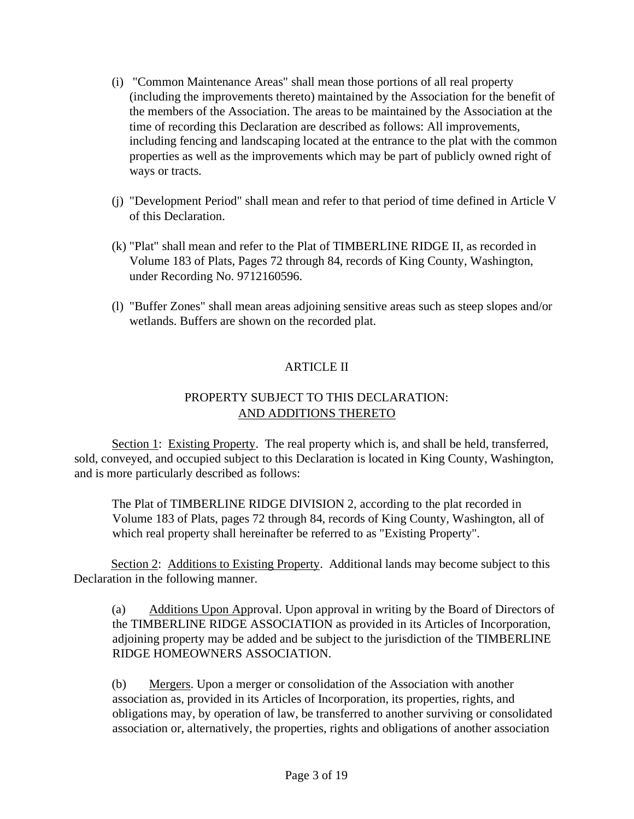- (i) "Common Maintenance Areas" shall mean those portions of all real property (including the improvements thereto) maintained by the Association for the benefit of the members of the Association. The areas to be maintained by the Association at the time of recording this Declaration are described as follows: All improvements, including fencing and landscaping located at the entrance to the plat with the common properties as well as the improvements which may be part of publicly owned right of ways or tracts.
- (j) "Development Period" shall mean and refer to that period of time defined in Article V of this Declaration.
- (k) "Plat" shall mean and refer to the Plat of TIMBERLINE RIDGE II, as recorded in Volume 183 of Plats, Pages 72 through 84, records of King County, Washington, under Recording No. 9712160596.
- (l) "Buffer Zones" shall mean areas adjoining sensitive areas such as steep slopes and/or wetlands. Buffers are shown on the recorded plat.

# ARTICLE II

# PROPERTY SUBJECT TO THIS DECLARATION: AND ADDITIONS THERETO

Section 1: Existing Property. The real property which is, and shall be held, transferred, sold, conveyed, and occupied subject to this Declaration is located in King County, Washington, and is more particularly described as follows:

The Plat of TIMBERLINE RIDGE DIVISION 2, according to the plat recorded in Volume 183 of Plats, pages 72 through 84, records of King County, Washington, all of which real property shall hereinafter be referred to as "Existing Property".

Section 2: Additions to Existing Property. Additional lands may become subject to this Declaration in the following manner.

(a) Additions Upon Approval. Upon approval in writing by the Board of Directors of the TIMBERLINE RIDGE ASSOCIATION as provided in its Articles of Incorporation, adjoining property may be added and be subject to the jurisdiction of the TIMBERLINE RIDGE HOMEOWNERS ASSOCIATION.

(b) Mergers. Upon a merger or consolidation of the Association with another association as, provided in its Articles of Incorporation, its properties, rights, and obligations may, by operation of law, be transferred to another surviving or consolidated association or, alternatively, the properties, rights and obligations of another association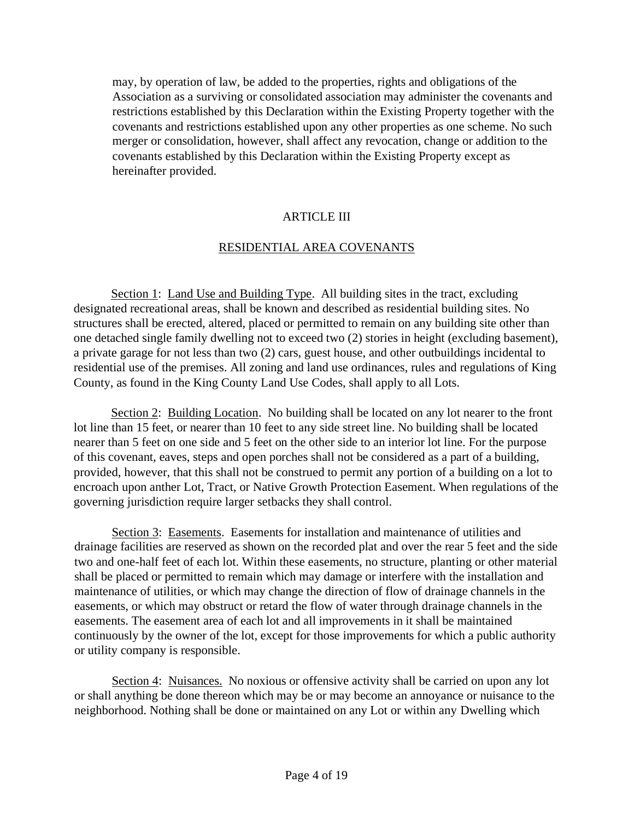may, by operation of law, be added to the properties, rights and obligations of the Association as a surviving or consolidated association may administer the covenants and restrictions established by this Declaration within the Existing Property together with the covenants and restrictions established upon any other properties as one scheme. No such merger or consolidation, however, shall affect any revocation, change or addition to the covenants established by this Declaration within the Existing Property except as hereinafter provided.

# ARTICLE III

# RESIDENTIAL AREA COVENANTS

Section 1: Land Use and Building Type. All building sites in the tract, excluding designated recreational areas, shall be known and described as residential building sites. No structures shall be erected, altered, placed or permitted to remain on any building site other than one detached single family dwelling not to exceed two (2) stories in height (excluding basement), a private garage for not less than two (2) cars, guest house, and other outbuildings incidental to residential use of the premises. All zoning and land use ordinances, rules and regulations of King County, as found in the King County Land Use Codes, shall apply to all Lots.

Section 2: Building Location. No building shall be located on any lot nearer to the front lot line than 15 feet, or nearer than 10 feet to any side street line. No building shall be located nearer than 5 feet on one side and 5 feet on the other side to an interior lot line. For the purpose of this covenant, eaves, steps and open porches shall not be considered as a part of a building, provided, however, that this shall not be construed to permit any portion of a building on a lot to encroach upon anther Lot, Tract, or Native Growth Protection Easement. When regulations of the governing jurisdiction require larger setbacks they shall control.

Section 3: Easements. Easements for installation and maintenance of utilities and drainage facilities are reserved as shown on the recorded plat and over the rear 5 feet and the side two and one-half feet of each lot. Within these easements, no structure, planting or other material shall be placed or permitted to remain which may damage or interfere with the installation and maintenance of utilities, or which may change the direction of flow of drainage channels in the easements, or which may obstruct or retard the flow of water through drainage channels in the easements. The easement area of each lot and all improvements in it shall be maintained continuously by the owner of the lot, except for those improvements for which a public authority or utility company is responsible.

Section 4: Nuisances. No noxious or offensive activity shall be carried on upon any lot or shall anything be done thereon which may be or may become an annoyance or nuisance to the neighborhood. Nothing shall be done or maintained on any Lot or within any Dwelling which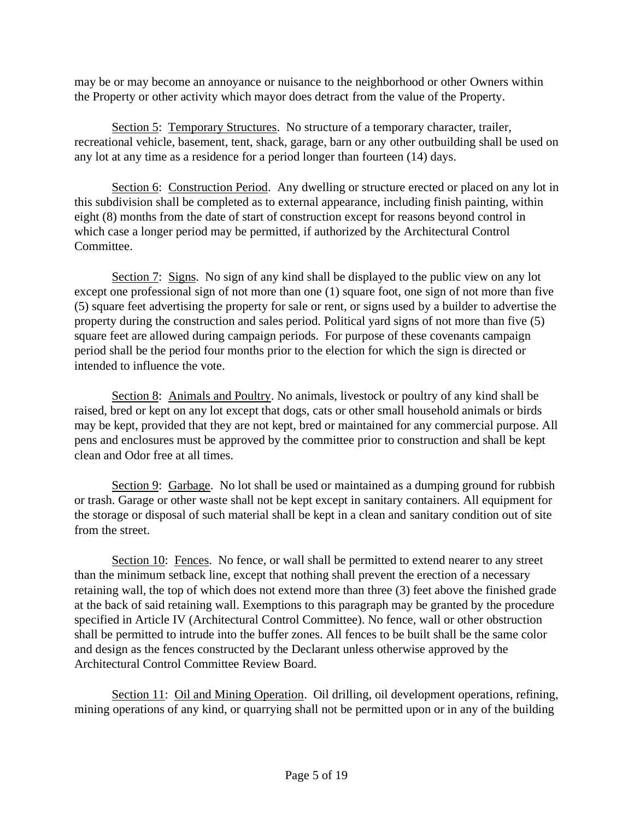may be or may become an annoyance or nuisance to the neighborhood or other Owners within the Property or other activity which mayor does detract from the value of the Property.

Section 5: Temporary Structures. No structure of a temporary character, trailer, recreational vehicle, basement, tent, shack, garage, barn or any other outbuilding shall be used on any lot at any time as a residence for a period longer than fourteen (14) days.

Section 6: Construction Period. Any dwelling or structure erected or placed on any lot in this subdivision shall be completed as to external appearance, including finish painting, within eight (8) months from the date of start of construction except for reasons beyond control in which case a longer period may be permitted, if authorized by the Architectural Control Committee.

Section 7: Signs. No sign of any kind shall be displayed to the public view on any lot except one professional sign of not more than one (1) square foot, one sign of not more than five (5) square feet advertising the property for sale or rent, or signs used by a builder to advertise the property during the construction and sales period. Political yard signs of not more than five (5) square feet are allowed during campaign periods. For purpose of these covenants campaign period shall be the period four months prior to the election for which the sign is directed or intended to influence the vote.

Section 8: Animals and Poultry. No animals, livestock or poultry of any kind shall be raised, bred or kept on any lot except that dogs, cats or other small household animals or birds may be kept, provided that they are not kept, bred or maintained for any commercial purpose. All pens and enclosures must be approved by the committee prior to construction and shall be kept clean and Odor free at all times.

Section 9: Garbage. No lot shall be used or maintained as a dumping ground for rubbish or trash. Garage or other waste shall not be kept except in sanitary containers. All equipment for the storage or disposal of such material shall be kept in a clean and sanitary condition out of site from the street.

Section 10: Fences. No fence, or wall shall be permitted to extend nearer to any street than the minimum setback line, except that nothing shall prevent the erection of a necessary retaining wall, the top of which does not extend more than three (3) feet above the finished grade at the back of said retaining wall. Exemptions to this paragraph may be granted by the procedure specified in Article IV (Architectural Control Committee). No fence, wall or other obstruction shall be permitted to intrude into the buffer zones. All fences to be built shall be the same color and design as the fences constructed by the Declarant unless otherwise approved by the Architectural Control Committee Review Board.

Section 11: Oil and Mining Operation. Oil drilling, oil development operations, refining, mining operations of any kind, or quarrying shall not be permitted upon or in any of the building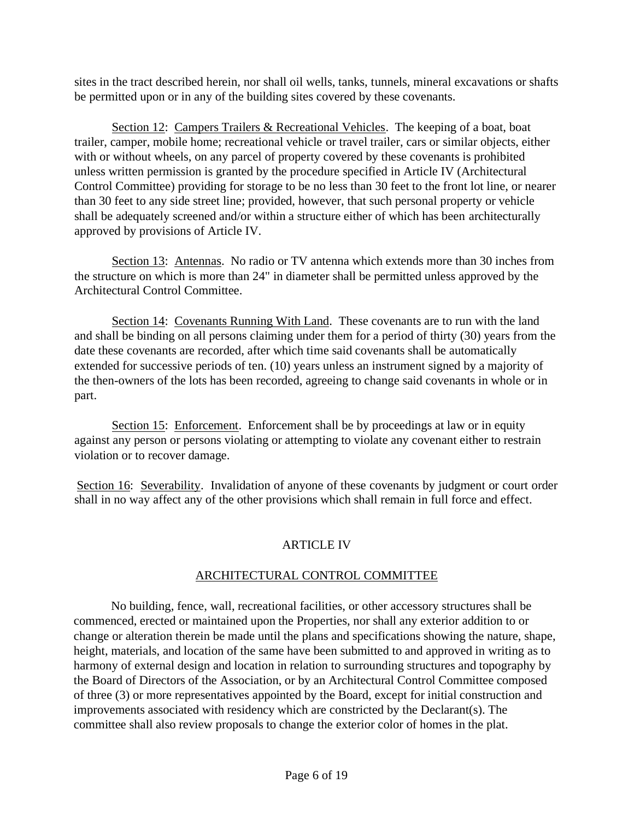sites in the tract described herein, nor shall oil wells, tanks, tunnels, mineral excavations or shafts be permitted upon or in any of the building sites covered by these covenants.

Section 12: Campers Trailers & Recreational Vehicles. The keeping of a boat, boat trailer, camper, mobile home; recreational vehicle or travel trailer, cars or similar objects, either with or without wheels, on any parcel of property covered by these covenants is prohibited unless written permission is granted by the procedure specified in Article IV (Architectural Control Committee) providing for storage to be no less than 30 feet to the front lot line, or nearer than 30 feet to any side street line; provided, however, that such personal property or vehicle shall be adequately screened and/or within a structure either of which has been architecturally approved by provisions of Article IV.

Section 13: Antennas. No radio or TV antenna which extends more than 30 inches from the structure on which is more than 24" in diameter shall be permitted unless approved by the Architectural Control Committee.

Section 14: Covenants Running With Land. These covenants are to run with the land and shall be binding on all persons claiming under them for a period of thirty (30) years from the date these covenants are recorded, after which time said covenants shall be automatically extended for successive periods of ten. (10) years unless an instrument signed by a majority of the then-owners of the lots has been recorded, agreeing to change said covenants in whole or in part.

Section 15: Enforcement. Enforcement shall be by proceedings at law or in equity against any person or persons violating or attempting to violate any covenant either to restrain violation or to recover damage.

Section 16: Severability. Invalidation of anyone of these covenants by judgment or court order shall in no way affect any of the other provisions which shall remain in full force and effect.

# ARTICLE IV

# ARCHITECTURAL CONTROL COMMITTEE

No building, fence, wall, recreational facilities, or other accessory structures shall be commenced, erected or maintained upon the Properties, nor shall any exterior addition to or change or alteration therein be made until the plans and specifications showing the nature, shape, height, materials, and location of the same have been submitted to and approved in writing as to harmony of external design and location in relation to surrounding structures and topography by the Board of Directors of the Association, or by an Architectural Control Committee composed of three (3) or more representatives appointed by the Board, except for initial construction and improvements associated with residency which are constricted by the Declarant(s). The committee shall also review proposals to change the exterior color of homes in the plat.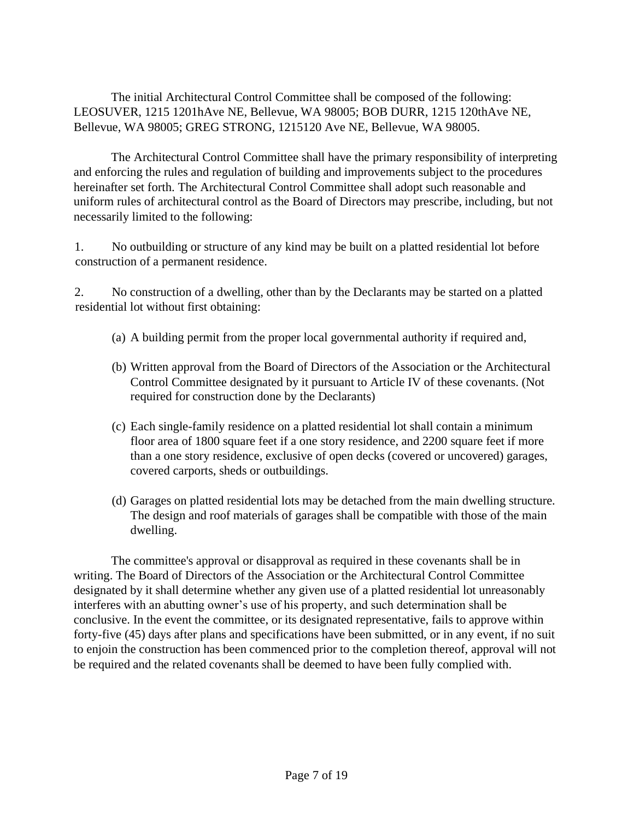The initial Architectural Control Committee shall be composed of the following: LEOSUVER, 1215 1201hAve NE, Bellevue, WA 98005; BOB DURR, 1215 120thAve NE, Bellevue, WA 98005; GREG STRONG, 1215120 Ave NE, Bellevue, WA 98005.

The Architectural Control Committee shall have the primary responsibility of interpreting and enforcing the rules and regulation of building and improvements subject to the procedures hereinafter set forth. The Architectural Control Committee shall adopt such reasonable and uniform rules of architectural control as the Board of Directors may prescribe, including, but not necessarily limited to the following:

1. No outbuilding or structure of any kind may be built on a platted residential lot before construction of a permanent residence.

2. No construction of a dwelling, other than by the Declarants may be started on a platted residential lot without first obtaining:

- (a) A building permit from the proper local governmental authority if required and,
- (b) Written approval from the Board of Directors of the Association or the Architectural Control Committee designated by it pursuant to Article IV of these covenants. (Not required for construction done by the Declarants)
- (c) Each single-family residence on a platted residential lot shall contain a minimum floor area of 1800 square feet if a one story residence, and 2200 square feet if more than a one story residence, exclusive of open decks (covered or uncovered) garages, covered carports, sheds or outbuildings.
- (d) Garages on platted residential lots may be detached from the main dwelling structure. The design and roof materials of garages shall be compatible with those of the main dwelling.

The committee's approval or disapproval as required in these covenants shall be in writing. The Board of Directors of the Association or the Architectural Control Committee designated by it shall determine whether any given use of a platted residential lot unreasonably interferes with an abutting owner's use of his property, and such determination shall be conclusive. In the event the committee, or its designated representative, fails to approve within forty-five (45) days after plans and specifications have been submitted, or in any event, if no suit to enjoin the construction has been commenced prior to the completion thereof, approval will not be required and the related covenants shall be deemed to have been fully complied with.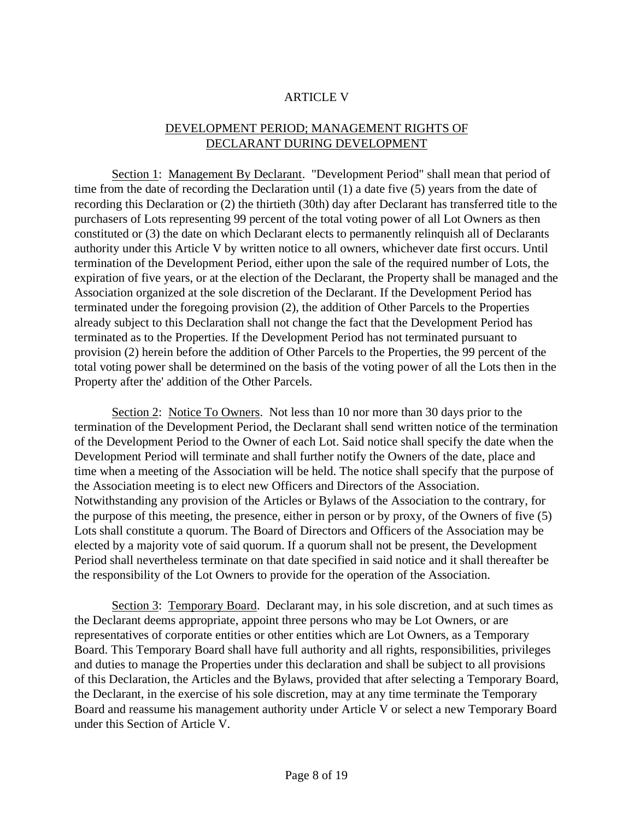#### ARTICLE V

# DEVELOPMENT PERIOD; MANAGEMENT RIGHTS OF DECLARANT DURING DEVELOPMENT

Section 1: Management By Declarant. "Development Period" shall mean that period of time from the date of recording the Declaration until (1) a date five (5) years from the date of recording this Declaration or (2) the thirtieth (30th) day after Declarant has transferred title to the purchasers of Lots representing 99 percent of the total voting power of all Lot Owners as then constituted or (3) the date on which Declarant elects to permanently relinquish all of Declarants authority under this Article V by written notice to all owners, whichever date first occurs. Until termination of the Development Period, either upon the sale of the required number of Lots, the expiration of five years, or at the election of the Declarant, the Property shall be managed and the Association organized at the sole discretion of the Declarant. If the Development Period has terminated under the foregoing provision (2), the addition of Other Parcels to the Properties already subject to this Declaration shall not change the fact that the Development Period has terminated as to the Properties. If the Development Period has not terminated pursuant to provision (2) herein before the addition of Other Parcels to the Properties, the 99 percent of the total voting power shall be determined on the basis of the voting power of all the Lots then in the Property after the' addition of the Other Parcels.

Section 2: Notice To Owners. Not less than 10 nor more than 30 days prior to the termination of the Development Period, the Declarant shall send written notice of the termination of the Development Period to the Owner of each Lot. Said notice shall specify the date when the Development Period will terminate and shall further notify the Owners of the date, place and time when a meeting of the Association will be held. The notice shall specify that the purpose of the Association meeting is to elect new Officers and Directors of the Association. Notwithstanding any provision of the Articles or Bylaws of the Association to the contrary, for the purpose of this meeting, the presence, either in person or by proxy, of the Owners of five (5) Lots shall constitute a quorum. The Board of Directors and Officers of the Association may be elected by a majority vote of said quorum. If a quorum shall not be present, the Development Period shall nevertheless terminate on that date specified in said notice and it shall thereafter be the responsibility of the Lot Owners to provide for the operation of the Association.

Section 3: Temporary Board. Declarant may, in his sole discretion, and at such times as the Declarant deems appropriate, appoint three persons who may be Lot Owners, or are representatives of corporate entities or other entities which are Lot Owners, as a Temporary Board. This Temporary Board shall have full authority and all rights, responsibilities, privileges and duties to manage the Properties under this declaration and shall be subject to all provisions of this Declaration, the Articles and the Bylaws, provided that after selecting a Temporary Board, the Declarant, in the exercise of his sole discretion, may at any time terminate the Temporary Board and reassume his management authority under Article V or select a new Temporary Board under this Section of Article V.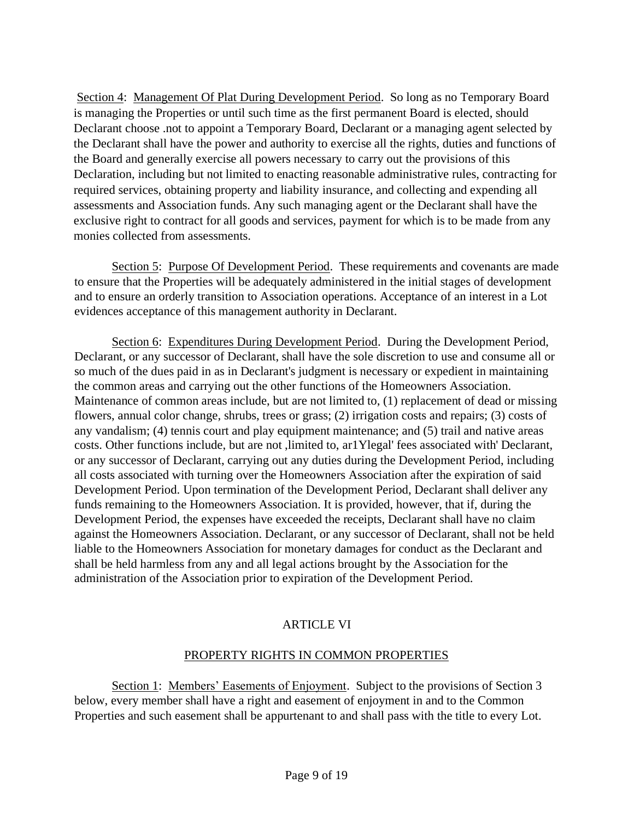Section 4: Management Of Plat During Development Period. So long as no Temporary Board is managing the Properties or until such time as the first permanent Board is elected, should Declarant choose .not to appoint a Temporary Board, Declarant or a managing agent selected by the Declarant shall have the power and authority to exercise all the rights, duties and functions of the Board and generally exercise all powers necessary to carry out the provisions of this Declaration, including but not limited to enacting reasonable administrative rules, contracting for required services, obtaining property and liability insurance, and collecting and expending all assessments and Association funds. Any such managing agent or the Declarant shall have the exclusive right to contract for all goods and services, payment for which is to be made from any monies collected from assessments.

Section 5: Purpose Of Development Period. These requirements and covenants are made to ensure that the Properties will be adequately administered in the initial stages of development and to ensure an orderly transition to Association operations. Acceptance of an interest in a Lot evidences acceptance of this management authority in Declarant.

Section 6: Expenditures During Development Period. During the Development Period, Declarant, or any successor of Declarant, shall have the sole discretion to use and consume all or so much of the dues paid in as in Declarant's judgment is necessary or expedient in maintaining the common areas and carrying out the other functions of the Homeowners Association. Maintenance of common areas include, but are not limited to, (1) replacement of dead or missing flowers, annual color change, shrubs, trees or grass; (2) irrigation costs and repairs; (3) costs of any vandalism; (4) tennis court and play equipment maintenance; and (5) trail and native areas costs. Other functions include, but are not ,limited to, ar1Ylegal' fees associated with' Declarant, or any successor of Declarant, carrying out any duties during the Development Period, including all costs associated with turning over the Homeowners Association after the expiration of said Development Period. Upon termination of the Development Period, Declarant shall deliver any funds remaining to the Homeowners Association. It is provided, however, that if, during the Development Period, the expenses have exceeded the receipts, Declarant shall have no claim against the Homeowners Association. Declarant, or any successor of Declarant, shall not be held liable to the Homeowners Association for monetary damages for conduct as the Declarant and shall be held harmless from any and all legal actions brought by the Association for the administration of the Association prior to expiration of the Development Period.

# ARTICLE VI

# PROPERTY RIGHTS IN COMMON PROPERTIES

Section 1: Members' Easements of Enjoyment. Subject to the provisions of Section 3 below, every member shall have a right and easement of enjoyment in and to the Common Properties and such easement shall be appurtenant to and shall pass with the title to every Lot.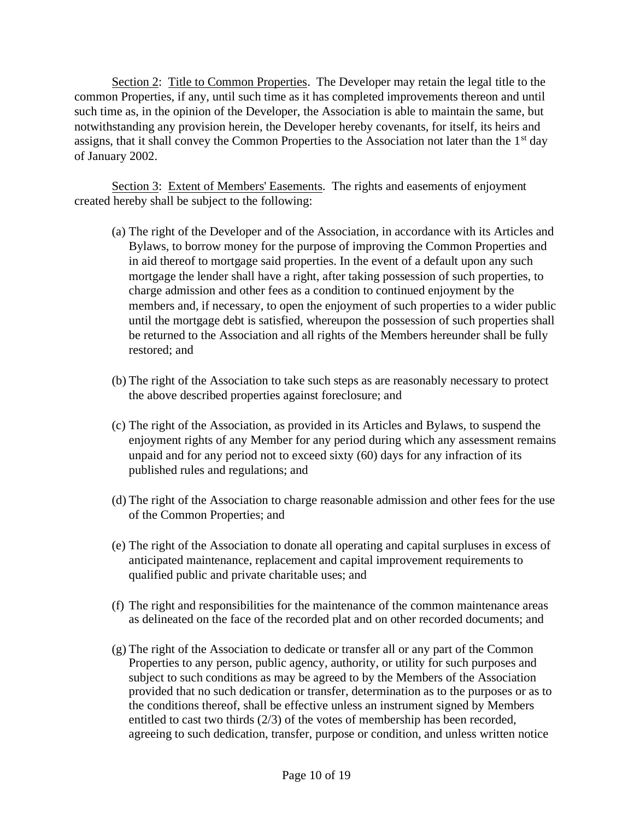Section 2: Title to Common Properties. The Developer may retain the legal title to the common Properties, if any, until such time as it has completed improvements thereon and until such time as, in the opinion of the Developer, the Association is able to maintain the same, but notwithstanding any provision herein, the Developer hereby covenants, for itself, its heirs and assigns, that it shall convey the Common Properties to the Association not later than the 1<sup>st</sup> day of January 2002.

Section 3: Extent of Members' Easements. The rights and easements of enjoyment created hereby shall be subject to the following:

- (a) The right of the Developer and of the Association, in accordance with its Articles and Bylaws, to borrow money for the purpose of improving the Common Properties and in aid thereof to mortgage said properties. In the event of a default upon any such mortgage the lender shall have a right, after taking possession of such properties, to charge admission and other fees as a condition to continued enjoyment by the members and, if necessary, to open the enjoyment of such properties to a wider public until the mortgage debt is satisfied, whereupon the possession of such properties shall be returned to the Association and all rights of the Members hereunder shall be fully restored; and
- (b) The right of the Association to take such steps as are reasonably necessary to protect the above described properties against foreclosure; and
- (c) The right of the Association, as provided in its Articles and Bylaws, to suspend the enjoyment rights of any Member for any period during which any assessment remains unpaid and for any period not to exceed sixty (60) days for any infraction of its published rules and regulations; and
- (d) The right of the Association to charge reasonable admission and other fees for the use of the Common Properties; and
- (e) The right of the Association to donate all operating and capital surpluses in excess of anticipated maintenance, replacement and capital improvement requirements to qualified public and private charitable uses; and
- (f) The right and responsibilities for the maintenance of the common maintenance areas as delineated on the face of the recorded plat and on other recorded documents; and
- (g) The right of the Association to dedicate or transfer all or any part of the Common Properties to any person, public agency, authority, or utility for such purposes and subject to such conditions as may be agreed to by the Members of the Association provided that no such dedication or transfer, determination as to the purposes or as to the conditions thereof, shall be effective unless an instrument signed by Members entitled to cast two thirds (2/3) of the votes of membership has been recorded, agreeing to such dedication, transfer, purpose or condition, and unless written notice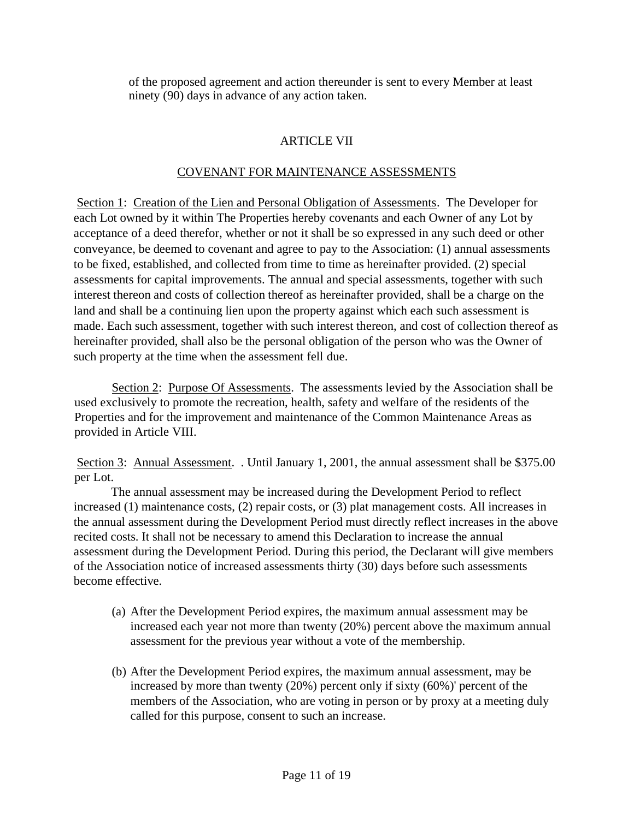of the proposed agreement and action thereunder is sent to every Member at least ninety (90) days in advance of any action taken.

# ARTICLE VII

#### COVENANT FOR MAINTENANCE ASSESSMENTS

Section 1: Creation of the Lien and Personal Obligation of Assessments. The Developer for each Lot owned by it within The Properties hereby covenants and each Owner of any Lot by acceptance of a deed therefor, whether or not it shall be so expressed in any such deed or other conveyance, be deemed to covenant and agree to pay to the Association: (1) annual assessments to be fixed, established, and collected from time to time as hereinafter provided. (2) special assessments for capital improvements. The annual and special assessments, together with such interest thereon and costs of collection thereof as hereinafter provided, shall be a charge on the land and shall be a continuing lien upon the property against which each such assessment is made. Each such assessment, together with such interest thereon, and cost of collection thereof as hereinafter provided, shall also be the personal obligation of the person who was the Owner of such property at the time when the assessment fell due.

Section 2: Purpose Of Assessments. The assessments levied by the Association shall be used exclusively to promote the recreation, health, safety and welfare of the residents of the Properties and for the improvement and maintenance of the Common Maintenance Areas as provided in Article VIII.

Section 3: Annual Assessment. . Until January 1, 2001, the annual assessment shall be \$375.00 per Lot.

The annual assessment may be increased during the Development Period to reflect increased (1) maintenance costs, (2) repair costs, or (3) plat management costs. All increases in the annual assessment during the Development Period must directly reflect increases in the above recited costs. It shall not be necessary to amend this Declaration to increase the annual assessment during the Development Period. During this period, the Declarant will give members of the Association notice of increased assessments thirty (30) days before such assessments become effective.

- (a) After the Development Period expires, the maximum annual assessment may be increased each year not more than twenty (20%) percent above the maximum annual assessment for the previous year without a vote of the membership.
- (b) After the Development Period expires, the maximum annual assessment, may be increased by more than twenty (20%) percent only if sixty (60%)' percent of the members of the Association, who are voting in person or by proxy at a meeting duly called for this purpose, consent to such an increase.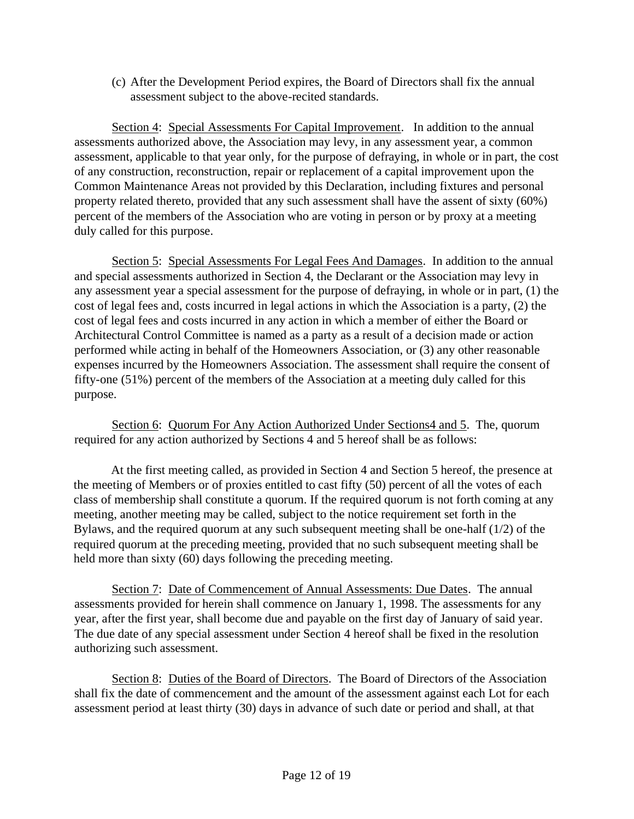(c) After the Development Period expires, the Board of Directors shall fix the annual assessment subject to the above-recited standards.

Section 4: Special Assessments For Capital Improvement. In addition to the annual assessments authorized above, the Association may levy, in any assessment year, a common assessment, applicable to that year only, for the purpose of defraying, in whole or in part, the cost of any construction, reconstruction, repair or replacement of a capital improvement upon the Common Maintenance Areas not provided by this Declaration, including fixtures and personal property related thereto, provided that any such assessment shall have the assent of sixty (60%) percent of the members of the Association who are voting in person or by proxy at a meeting duly called for this purpose.

Section 5: Special Assessments For Legal Fees And Damages. In addition to the annual and special assessments authorized in Section 4, the Declarant or the Association may levy in any assessment year a special assessment for the purpose of defraying, in whole or in part, (1) the cost of legal fees and, costs incurred in legal actions in which the Association is a party, (2) the cost of legal fees and costs incurred in any action in which a member of either the Board or Architectural Control Committee is named as a party as a result of a decision made or action performed while acting in behalf of the Homeowners Association, or (3) any other reasonable expenses incurred by the Homeowners Association. The assessment shall require the consent of fifty-one (51%) percent of the members of the Association at a meeting duly called for this purpose.

Section 6: Quorum For Any Action Authorized Under Sections4 and 5. The, quorum required for any action authorized by Sections 4 and 5 hereof shall be as follows:

At the first meeting called, as provided in Section 4 and Section 5 hereof, the presence at the meeting of Members or of proxies entitled to cast fifty (50) percent of all the votes of each class of membership shall constitute a quorum. If the required quorum is not forth coming at any meeting, another meeting may be called, subject to the notice requirement set forth in the Bylaws, and the required quorum at any such subsequent meeting shall be one-half (1/2) of the required quorum at the preceding meeting, provided that no such subsequent meeting shall be held more than sixty (60) days following the preceding meeting.

Section 7: Date of Commencement of Annual Assessments: Due Dates. The annual assessments provided for herein shall commence on January 1, 1998. The assessments for any year, after the first year, shall become due and payable on the first day of January of said year. The due date of any special assessment under Section 4 hereof shall be fixed in the resolution authorizing such assessment.

Section 8: Duties of the Board of Directors. The Board of Directors of the Association shall fix the date of commencement and the amount of the assessment against each Lot for each assessment period at least thirty (30) days in advance of such date or period and shall, at that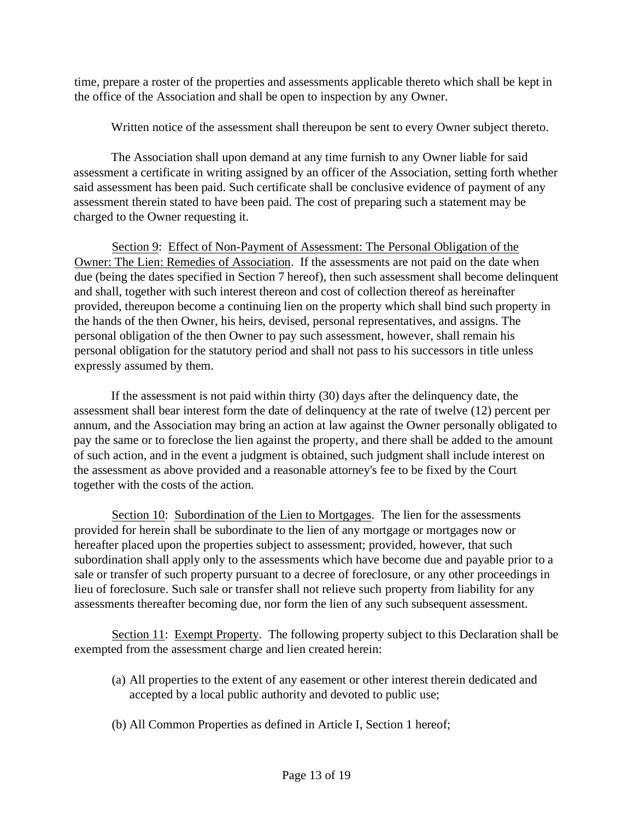time, prepare a roster of the properties and assessments applicable thereto which shall be kept in the office of the Association and shall be open to inspection by any Owner.

Written notice of the assessment shall thereupon be sent to every Owner subject thereto.

The Association shall upon demand at any time furnish to any Owner liable for said assessment a certificate in writing assigned by an officer of the Association, setting forth whether said assessment has been paid. Such certificate shall be conclusive evidence of payment of any assessment therein stated to have been paid. The cost of preparing such a statement may be charged to the Owner requesting it.

Section 9: Effect of Non-Payment of Assessment: The Personal Obligation of the Owner: The Lien: Remedies of Association. If the assessments are not paid on the date when due (being the dates specified in Section 7 hereof), then such assessment shall become delinquent and shall, together with such interest thereon and cost of collection thereof as hereinafter provided, thereupon become a continuing lien on the property which shall bind such property in the hands of the then Owner, his heirs, devised, personal representatives, and assigns. The personal obligation of the then Owner to pay such assessment, however, shall remain his personal obligation for the statutory period and shall not pass to his successors in title unless expressly assumed by them.

If the assessment is not paid within thirty (30) days after the delinquency date, the assessment shall bear interest form the date of delinquency at the rate of twelve (12) percent per annum, and the Association may bring an action at law against the Owner personally obligated to pay the same or to foreclose the lien against the property, and there shall be added to the amount of such action, and in the event a judgment is obtained, such judgment shall include interest on the assessment as above provided and a reasonable attorney's fee to be fixed by the Court together with the costs of the action.

Section 10: Subordination of the Lien to Mortgages. The lien for the assessments provided for herein shall be subordinate to the lien of any mortgage or mortgages now or hereafter placed upon the properties subject to assessment; provided, however, that such subordination shall apply only to the assessments which have become due and payable prior to a sale or transfer of such property pursuant to a decree of foreclosure, or any other proceedings in lieu of foreclosure. Such sale or transfer shall not relieve such property from liability for any assessments thereafter becoming due, nor form the lien of any such subsequent assessment.

Section 11: Exempt Property. The following property subject to this Declaration shall be exempted from the assessment charge and lien created herein:

- (a) All properties to the extent of any easement or other interest therein dedicated and accepted by a local public authority and devoted to public use;
- (b) All Common Properties as defined in Article I, Section 1 hereof;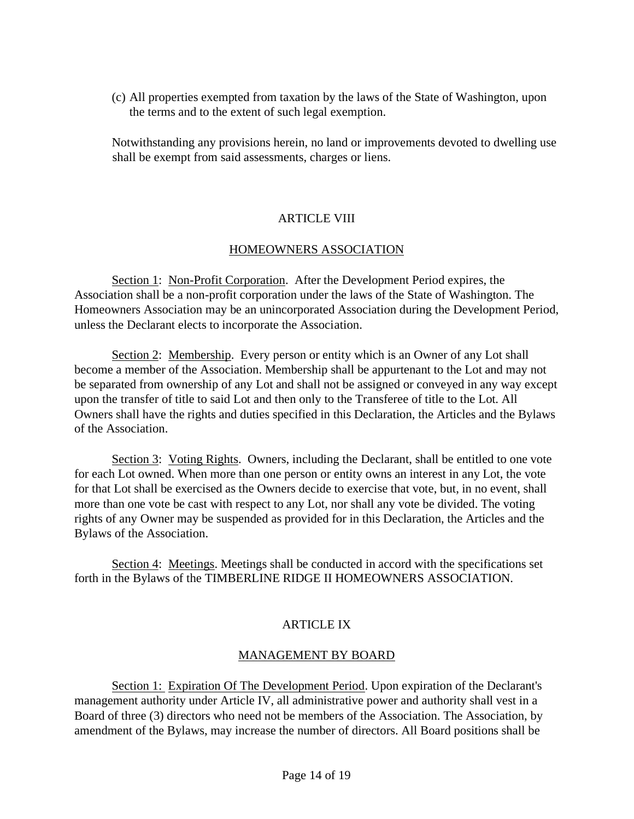(c) All properties exempted from taxation by the laws of the State of Washington, upon the terms and to the extent of such legal exemption.

Notwithstanding any provisions herein, no land or improvements devoted to dwelling use shall be exempt from said assessments, charges or liens.

# ARTICLE VIII

### HOMEOWNERS ASSOCIATION

Section 1: Non-Profit Corporation. After the Development Period expires, the Association shall be a non-profit corporation under the laws of the State of Washington. The Homeowners Association may be an unincorporated Association during the Development Period, unless the Declarant elects to incorporate the Association.

Section 2: Membership. Every person or entity which is an Owner of any Lot shall become a member of the Association. Membership shall be appurtenant to the Lot and may not be separated from ownership of any Lot and shall not be assigned or conveyed in any way except upon the transfer of title to said Lot and then only to the Transferee of title to the Lot. All Owners shall have the rights and duties specified in this Declaration, the Articles and the Bylaws of the Association.

Section 3: Voting Rights. Owners, including the Declarant, shall be entitled to one vote for each Lot owned. When more than one person or entity owns an interest in any Lot, the vote for that Lot shall be exercised as the Owners decide to exercise that vote, but, in no event, shall more than one vote be cast with respect to any Lot, nor shall any vote be divided. The voting rights of any Owner may be suspended as provided for in this Declaration, the Articles and the Bylaws of the Association.

Section 4: Meetings. Meetings shall be conducted in accord with the specifications set forth in the Bylaws of the TIMBERLINE RIDGE II HOMEOWNERS ASSOCIATION.

# ARTICLE IX

#### MANAGEMENT BY BOARD

Section 1: Expiration Of The Development Period. Upon expiration of the Declarant's management authority under Article IV, all administrative power and authority shall vest in a Board of three (3) directors who need not be members of the Association. The Association, by amendment of the Bylaws, may increase the number of directors. All Board positions shall be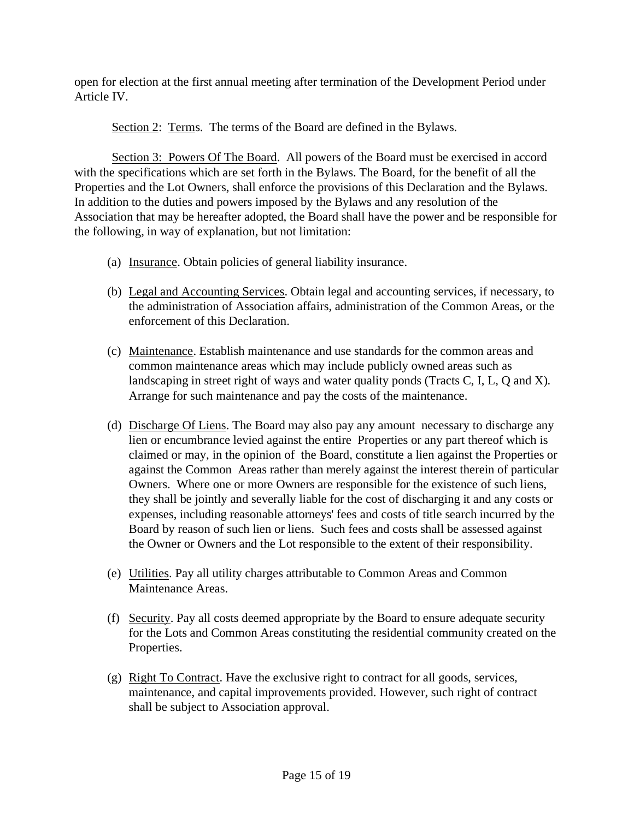open for election at the first annual meeting after termination of the Development Period under Article IV.

Section 2: Terms. The terms of the Board are defined in the Bylaws.

Section 3: Powers Of The Board. All powers of the Board must be exercised in accord with the specifications which are set forth in the Bylaws. The Board, for the benefit of all the Properties and the Lot Owners, shall enforce the provisions of this Declaration and the Bylaws. In addition to the duties and powers imposed by the Bylaws and any resolution of the Association that may be hereafter adopted, the Board shall have the power and be responsible for the following, in way of explanation, but not limitation:

- (a) Insurance. Obtain policies of general liability insurance.
- (b) Legal and Accounting Services. Obtain legal and accounting services, if necessary, to the administration of Association affairs, administration of the Common Areas, or the enforcement of this Declaration.
- (c) Maintenance. Establish maintenance and use standards for the common areas and common maintenance areas which may include publicly owned areas such as landscaping in street right of ways and water quality ponds (Tracts C, I, L, Q and X). Arrange for such maintenance and pay the costs of the maintenance.
- (d) Discharge Of Liens. The Board may also pay any amount necessary to discharge any lien or encumbrance levied against the entire Properties or any part thereof which is claimed or may, in the opinion of the Board, constitute a lien against the Properties or against the Common Areas rather than merely against the interest therein of particular Owners. Where one or more Owners are responsible for the existence of such liens, they shall be jointly and severally liable for the cost of discharging it and any costs or expenses, including reasonable attorneys' fees and costs of title search incurred by the Board by reason of such lien or liens. Such fees and costs shall be assessed against the Owner or Owners and the Lot responsible to the extent of their responsibility.
- (e) Utilities. Pay all utility charges attributable to Common Areas and Common Maintenance Areas.
- (f) Security. Pay all costs deemed appropriate by the Board to ensure adequate security for the Lots and Common Areas constituting the residential community created on the Properties.
- (g) Right To Contract. Have the exclusive right to contract for all goods, services, maintenance, and capital improvements provided. However, such right of contract shall be subject to Association approval.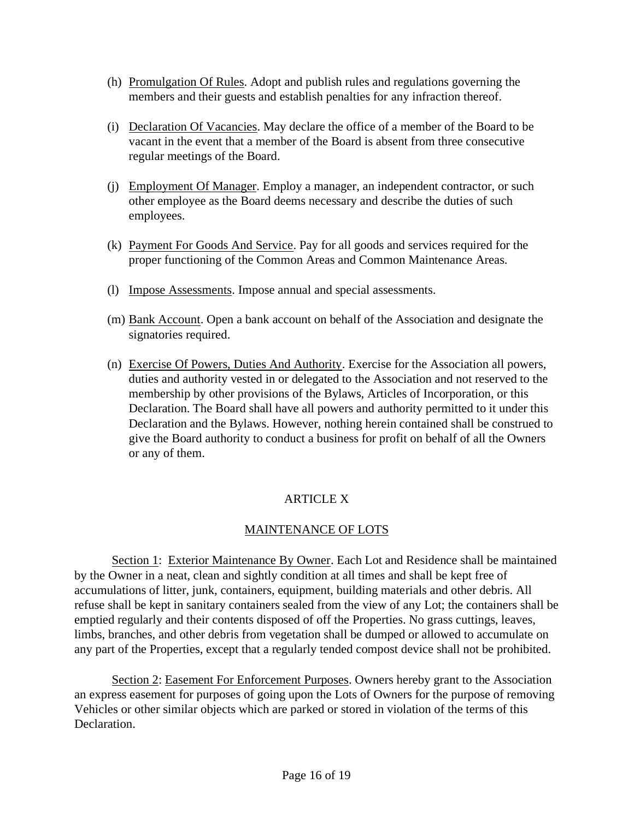- (h) Promulgation Of Rules. Adopt and publish rules and regulations governing the members and their guests and establish penalties for any infraction thereof.
- (i) Declaration Of Vacancies. May declare the office of a member of the Board to be vacant in the event that a member of the Board is absent from three consecutive regular meetings of the Board.
- (j) Employment Of Manager. Employ a manager, an independent contractor, or such other employee as the Board deems necessary and describe the duties of such employees.
- (k) Payment For Goods And Service. Pay for all goods and services required for the proper functioning of the Common Areas and Common Maintenance Areas.
- (l) Impose Assessments. Impose annual and special assessments.
- (m) Bank Account. Open a bank account on behalf of the Association and designate the signatories required.
- (n) Exercise Of Powers, Duties And Authority. Exercise for the Association all powers, duties and authority vested in or delegated to the Association and not reserved to the membership by other provisions of the Bylaws, Articles of Incorporation, or this Declaration. The Board shall have all powers and authority permitted to it under this Declaration and the Bylaws. However, nothing herein contained shall be construed to give the Board authority to conduct a business for profit on behalf of all the Owners or any of them.

# ARTICLE X

# MAINTENANCE OF LOTS

Section 1: Exterior Maintenance By Owner. Each Lot and Residence shall be maintained by the Owner in a neat, clean and sightly condition at all times and shall be kept free of accumulations of litter, junk, containers, equipment, building materials and other debris. All refuse shall be kept in sanitary containers sealed from the view of any Lot; the containers shall be emptied regularly and their contents disposed of off the Properties. No grass cuttings, leaves, limbs, branches, and other debris from vegetation shall be dumped or allowed to accumulate on any part of the Properties, except that a regularly tended compost device shall not be prohibited.

Section 2: Easement For Enforcement Purposes. Owners hereby grant to the Association an express easement for purposes of going upon the Lots of Owners for the purpose of removing Vehicles or other similar objects which are parked or stored in violation of the terms of this Declaration.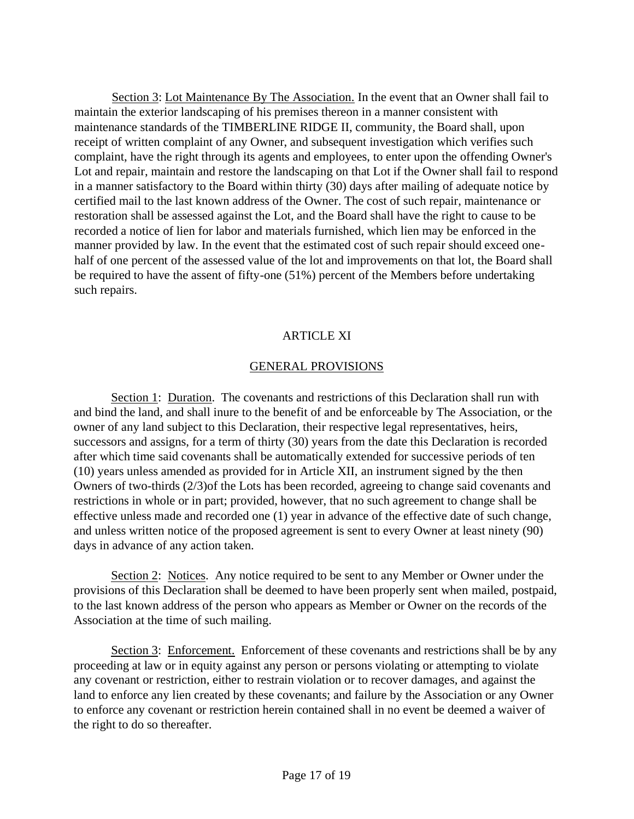Section 3: Lot Maintenance By The Association. In the event that an Owner shall fail to maintain the exterior landscaping of his premises thereon in a manner consistent with maintenance standards of the TIMBERLINE RIDGE II, community, the Board shall, upon receipt of written complaint of any Owner, and subsequent investigation which verifies such complaint, have the right through its agents and employees, to enter upon the offending Owner's Lot and repair, maintain and restore the landscaping on that Lot if the Owner shall fail to respond in a manner satisfactory to the Board within thirty (30) days after mailing of adequate notice by certified mail to the last known address of the Owner. The cost of such repair, maintenance or restoration shall be assessed against the Lot, and the Board shall have the right to cause to be recorded a notice of lien for labor and materials furnished, which lien may be enforced in the manner provided by law. In the event that the estimated cost of such repair should exceed onehalf of one percent of the assessed value of the lot and improvements on that lot, the Board shall be required to have the assent of fifty-one (51%) percent of the Members before undertaking such repairs.

### ARTICLE XI

#### GENERAL PROVISIONS

Section 1: Duration. The covenants and restrictions of this Declaration shall run with and bind the land, and shall inure to the benefit of and be enforceable by The Association, or the owner of any land subject to this Declaration, their respective legal representatives, heirs, successors and assigns, for a term of thirty (30) years from the date this Declaration is recorded after which time said covenants shall be automatically extended for successive periods of ten (10) years unless amended as provided for in Article XII, an instrument signed by the then Owners of two-thirds (2/3)of the Lots has been recorded, agreeing to change said covenants and restrictions in whole or in part; provided, however, that no such agreement to change shall be effective unless made and recorded one (1) year in advance of the effective date of such change, and unless written notice of the proposed agreement is sent to every Owner at least ninety (90) days in advance of any action taken.

Section 2: Notices. Any notice required to be sent to any Member or Owner under the provisions of this Declaration shall be deemed to have been properly sent when mailed, postpaid, to the last known address of the person who appears as Member or Owner on the records of the Association at the time of such mailing.

Section 3: Enforcement. Enforcement of these covenants and restrictions shall be by any proceeding at law or in equity against any person or persons violating or attempting to violate any covenant or restriction, either to restrain violation or to recover damages, and against the land to enforce any lien created by these covenants; and failure by the Association or any Owner to enforce any covenant or restriction herein contained shall in no event be deemed a waiver of the right to do so thereafter.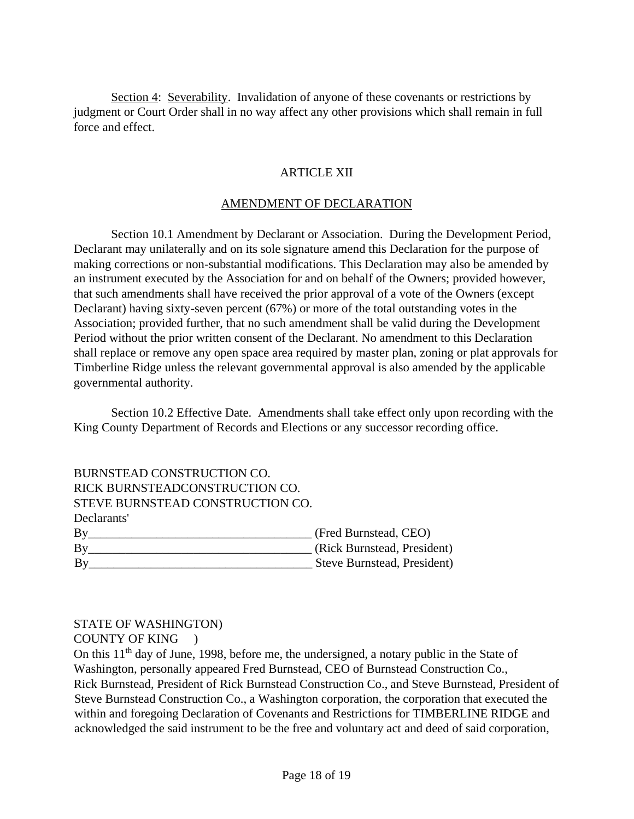Section 4: Severability. Invalidation of anyone of these covenants or restrictions by judgment or Court Order shall in no way affect any other provisions which shall remain in full force and effect.

## ARTICLE XII

#### AMENDMENT OF DECLARATION

Section 10.1 Amendment by Declarant or Association. During the Development Period, Declarant may unilaterally and on its sole signature amend this Declaration for the purpose of making corrections or non-substantial modifications. This Declaration may also be amended by an instrument executed by the Association for and on behalf of the Owners; provided however, that such amendments shall have received the prior approval of a vote of the Owners (except Declarant) having sixty-seven percent (67%) or more of the total outstanding votes in the Association; provided further, that no such amendment shall be valid during the Development Period without the prior written consent of the Declarant. No amendment to this Declaration shall replace or remove any open space area required by master plan, zoning or plat approvals for Timberline Ridge unless the relevant governmental approval is also amended by the applicable governmental authority.

Section 10.2 Effective Date. Amendments shall take effect only upon recording with the King County Department of Records and Elections or any successor recording office.

| BURNSTEAD CONSTRUCTION CO.                                        |                             |
|-------------------------------------------------------------------|-----------------------------|
| RICK BURNSTEADCONSTRUCTION CO.                                    |                             |
| STEVE BURNSTEAD CONSTRUCTION CO.                                  |                             |
| Declarants'                                                       |                             |
| By                                                                | (Fred Burnstead, CEO)       |
| $\mathbf{B} \mathbf{v}$                                           | (Rick Burnstead, President) |
| By<br><u> 1989 - Andrea Stadt Britain, amerikansk politiker (</u> | Steve Burnstead, President) |

# STATE OF WASHINGTON)

COUNTY OF KING )

On this 11<sup>th</sup> day of June, 1998, before me, the undersigned, a notary public in the State of Washington, personally appeared Fred Burnstead, CEO of Burnstead Construction Co., Rick Burnstead, President of Rick Burnstead Construction Co., and Steve Burnstead, President of Steve Burnstead Construction Co., a Washington corporation, the corporation that executed the within and foregoing Declaration of Covenants and Restrictions for TIMBERLINE RIDGE and acknowledged the said instrument to be the free and voluntary act and deed of said corporation,